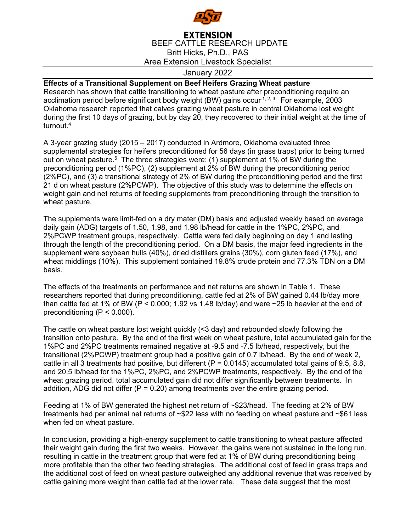

## **EXTENSION** BEEF CATTLE RESEARCH UPDATE Britt Hicks, Ph.D., PAS Area Extension Livestock Specialist

## January 2022

## **Effects of a Transitional Supplement on Beef Heifers Grazing Wheat pasture**

Research has shown that cattle transitioning to wheat pasture after preconditioning require an acclimation period before significant body weight (BW) gains occur.<sup>1, 2, 3</sup> For example, 2003 Oklahoma research reported that calves grazing wheat pasture in central Oklahoma lost weight during the first 10 days of grazing, but by day 20, they recovered to their initial weight at the time of turnout.4

A 3-year grazing study (2015 – 2017) conducted in Ardmore, Oklahoma evaluated three supplemental strategies for heifers preconditioned for 56 days (in grass traps) prior to being turned out on wheat pasture.<sup>5</sup> The three strategies were: (1) supplement at 1% of BW during the preconditioning period (1%PC), (2) supplement at 2% of BW during the preconditioning period (2%PC), and (3) a transitional strategy of 2% of BW during the preconditioning period and the first 21 d on wheat pasture (2%PCWP). The objective of this study was to determine the effects on weight gain and net returns of feeding supplements from preconditioning through the transition to wheat pasture.

The supplements were limit-fed on a dry mater (DM) basis and adjusted weekly based on average daily gain (ADG) targets of 1.50, 1.98, and 1.98 lb/head for cattle in the 1%PC, 2%PC, and 2%PCWP treatment groups, respectively. Cattle were fed daily beginning on day 1 and lasting through the length of the preconditioning period. On a DM basis, the major feed ingredients in the supplement were soybean hulls (40%), dried distillers grains (30%), corn gluten feed (17%), and wheat middlings (10%). This supplement contained 19.8% crude protein and 77.3% TDN on a DM basis.

The effects of the treatments on performance and net returns are shown in Table 1. These researchers reported that during preconditioning, cattle fed at 2% of BW gained 0.44 lb/day more than cattle fed at 1% of BW ( $P < 0.000$ ; 1.92 vs 1.48 lb/day) and were  $\sim$  25 lb heavier at the end of preconditioning  $(P < 0.000)$ .

The cattle on wheat pasture lost weight quickly (<3 day) and rebounded slowly following the transition onto pasture. By the end of the first week on wheat pasture, total accumulated gain for the 1%PC and 2%PC treatments remained negative at -9.5 and -7.5 lb/head, respectively, but the transitional (2%PCWP) treatment group had a positive gain of 0.7 lb/head. By the end of week 2, cattle in all 3 treatments had positive, but different ( $P = 0.0145$ ) accumulated total gains of 9.5, 8.8, and 20.5 lb/head for the 1%PC, 2%PC, and 2%PCWP treatments, respectively. By the end of the wheat grazing period, total accumulated gain did not differ significantly between treatments. In addition, ADG did not differ ( $P = 0.20$ ) among treatments over the entire grazing period.

Feeding at 1% of BW generated the highest net return of ~\$23/head. The feeding at 2% of BW treatments had per animal net returns of ~\$22 less with no feeding on wheat pasture and ~\$61 less when fed on wheat pasture.

In conclusion, providing a high-energy supplement to cattle transitioning to wheat pasture affected their weight gain during the first two weeks. However, the gains were not sustained in the long run, resulting in cattle in the treatment group that were fed at 1% of BW during preconditioning being more profitable than the other two feeding strategies. The additional cost of feed in grass traps and the additional cost of feed on wheat pasture outweighed any additional revenue that was received by cattle gaining more weight than cattle fed at the lower rate. These data suggest that the most